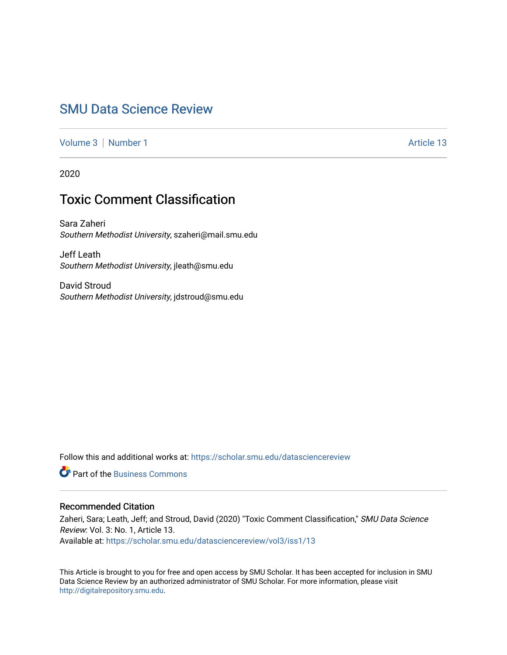# [SMU Data Science Review](https://scholar.smu.edu/datasciencereview)

[Volume 3](https://scholar.smu.edu/datasciencereview/vol3) | [Number 1](https://scholar.smu.edu/datasciencereview/vol3/iss1) Article 13

2020

# Toxic Comment Classification

Sara Zaheri Southern Methodist University, szaheri@mail.smu.edu

Jeff Leath Southern Methodist University, jleath@smu.edu

David Stroud Southern Methodist University, jdstroud@smu.edu

Follow this and additional works at: [https://scholar.smu.edu/datasciencereview](https://scholar.smu.edu/datasciencereview?utm_source=scholar.smu.edu%2Fdatasciencereview%2Fvol3%2Fiss1%2F13&utm_medium=PDF&utm_campaign=PDFCoverPages)

**C** Part of the [Business Commons](http://network.bepress.com/hgg/discipline/622?utm_source=scholar.smu.edu%2Fdatasciencereview%2Fvol3%2Fiss1%2F13&utm_medium=PDF&utm_campaign=PDFCoverPages)

## Recommended Citation

Zaheri, Sara; Leath, Jeff; and Stroud, David (2020) "Toxic Comment Classification," SMU Data Science Review: Vol. 3: No. 1, Article 13. Available at: [https://scholar.smu.edu/datasciencereview/vol3/iss1/13](https://scholar.smu.edu/datasciencereview/vol3/iss1/13?utm_source=scholar.smu.edu%2Fdatasciencereview%2Fvol3%2Fiss1%2F13&utm_medium=PDF&utm_campaign=PDFCoverPages)

This Article is brought to you for free and open access by SMU Scholar. It has been accepted for inclusion in SMU Data Science Review by an authorized administrator of SMU Scholar. For more information, please visit [http://digitalrepository.smu.edu.](http://digitalrepository.smu.edu/)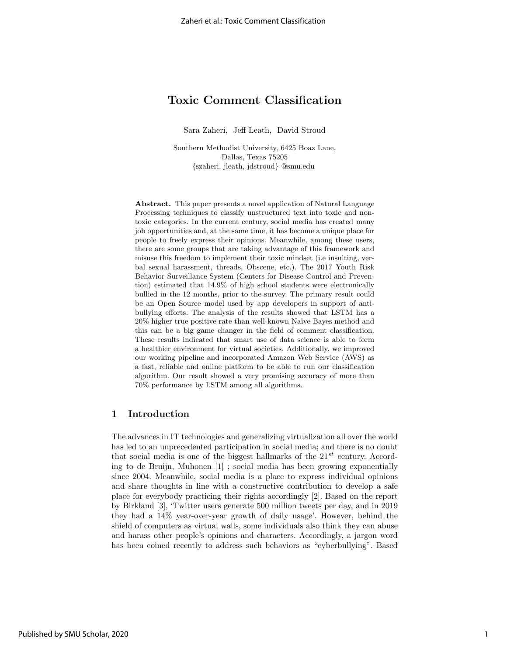## Toxic Comment Classification

Sara Zaheri, Jeff Leath, David Stroud

Southern Methodist University, 6425 Boaz Lane, Dallas, Texas 75205 {szaheri, jleath, jdstroud} @smu.edu

Abstract. This paper presents a novel application of Natural Language Processing techniques to classify unstructured text into toxic and nontoxic categories. In the current century, social media has created many job opportunities and, at the same time, it has become a unique place for people to freely express their opinions. Meanwhile, among these users, there are some groups that are taking advantage of this framework and misuse this freedom to implement their toxic mindset (i.e insulting, verbal sexual harassment, threads, Obscene, etc.). The 2017 Youth Risk Behavior Surveillance System (Centers for Disease Control and Prevention) estimated that 14.9% of high school students were electronically bullied in the 12 months, prior to the survey. The primary result could be an Open Source model used by app developers in support of antibullying efforts. The analysis of the results showed that LSTM has a 20% higher true positive rate than well-known Na¨ıve Bayes method and this can be a big game changer in the field of comment classification. These results indicated that smart use of data science is able to form a healthier environment for virtual societies. Additionally, we improved our working pipeline and incorporated Amazon Web Service (AWS) as a fast, reliable and online platform to be able to run our classification algorithm. Our result showed a very promising accuracy of more than 70% performance by LSTM among all algorithms.

## 1 Introduction

The advances in IT technologies and generalizing virtualization all over the world has led to an unprecedented participation in social media; and there is no doubt that social media is one of the biggest hallmarks of the  $21^{st}$  century. According to de Bruijn, Muhonen [1] ; social media has been growing exponentially since 2004. Meanwhile, social media is a place to express individual opinions and share thoughts in line with a constructive contribution to develop a safe place for everybody practicing their rights accordingly [2]. Based on the report by Birkland [3], 'Twitter users generate 500 million tweets per day, and in 2019 they had a 14% year-over-year growth of daily usage'. However, behind the shield of computers as virtual walls, some individuals also think they can abuse and harass other people's opinions and characters. Accordingly, a jargon word has been coined recently to address such behaviors as "cyberbullying". Based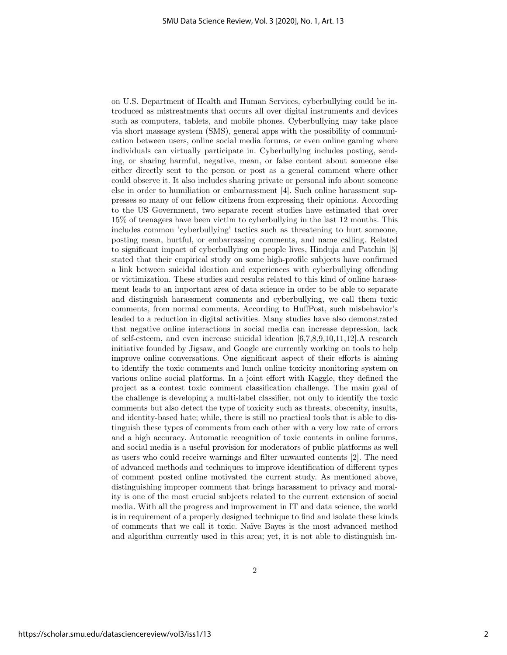on U.S. Department of Health and Human Services, cyberbullying could be introduced as mistreatments that occurs all over digital instruments and devices such as computers, tablets, and mobile phones. Cyberbullying may take place via short massage system (SMS), general apps with the possibility of communication between users, online social media forums, or even online gaming where individuals can virtually participate in. Cyberbullying includes posting, sending, or sharing harmful, negative, mean, or false content about someone else either directly sent to the person or post as a general comment where other could observe it. It also includes sharing private or personal info about someone else in order to humiliation or embarrassment [4]. Such online harassment suppresses so many of our fellow citizens from expressing their opinions. According to the US Government, two separate recent studies have estimated that over 15% of teenagers have been victim to cyberbullying in the last 12 months. This includes common 'cyberbullying' tactics such as threatening to hurt someone, posting mean, hurtful, or embarrassing comments, and name calling. Related to significant impact of cyberbullying on people lives, Hinduja and Patchin [5] stated that their empirical study on some high-profile subjects have confirmed a link between suicidal ideation and experiences with cyberbullying offending or victimization. These studies and results related to this kind of online harassment leads to an important area of data science in order to be able to separate and distinguish harassment comments and cyberbullying, we call them toxic comments, from normal comments. According to HuffPost, such misbehavior's leaded to a reduction in digital activities. Many studies have also demonstrated that negative online interactions in social media can increase depression, lack of self-esteem, and even increase suicidal ideation [6,7,8,9,10,11,12].A research initiative founded by Jigsaw, and Google are currently working on tools to help improve online conversations. One significant aspect of their efforts is aiming to identify the toxic comments and lunch online toxicity monitoring system on various online social platforms. In a joint effort with Kaggle, they defined the project as a contest toxic comment classification challenge. The main goal of the challenge is developing a multi-label classifier, not only to identify the toxic comments but also detect the type of toxicity such as threats, obscenity, insults, and identity-based hate; while, there is still no practical tools that is able to distinguish these types of comments from each other with a very low rate of errors and a high accuracy. Automatic recognition of toxic contents in online forums, and social media is a useful provision for moderators of public platforms as well as users who could receive warnings and filter unwanted contents [2]. The need of advanced methods and techniques to improve identification of different types of comment posted online motivated the current study. As mentioned above, distinguishing improper comment that brings harassment to privacy and morality is one of the most crucial subjects related to the current extension of social media. With all the progress and improvement in IT and data science, the world is in requirement of a properly designed technique to find and isolate these kinds of comments that we call it toxic. Na¨ıve Bayes is the most advanced method and algorithm currently used in this area; yet, it is not able to distinguish im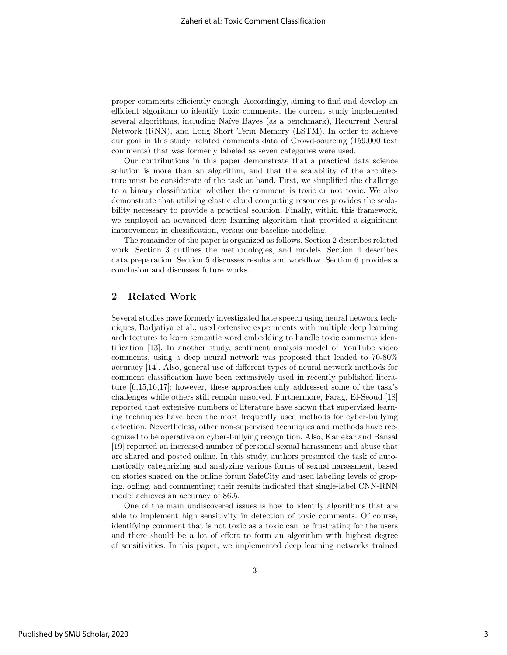proper comments efficiently enough. Accordingly, aiming to find and develop an efficient algorithm to identify toxic comments, the current study implemented several algorithms, including Na¨ıve Bayes (as a benchmark), Recurrent Neural Network (RNN), and Long Short Term Memory (LSTM). In order to achieve our goal in this study, related comments data of Crowd-sourcing (159,000 text comments) that was formerly labeled as seven categories were used.

Our contributions in this paper demonstrate that a practical data science solution is more than an algorithm, and that the scalability of the architecture must be considerate of the task at hand. First, we simplified the challenge to a binary classification whether the comment is toxic or not toxic. We also demonstrate that utilizing elastic cloud computing resources provides the scalability necessary to provide a practical solution. Finally, within this framework, we employed an advanced deep learning algorithm that provided a significant improvement in classification, versus our baseline modeling.

The remainder of the paper is organized as follows. Section 2 describes related work. Section 3 outlines the methodologies, and models. Section 4 describes data preparation. Section 5 discusses results and workflow. Section 6 provides a conclusion and discusses future works.

## 2 Related Work

Several studies have formerly investigated hate speech using neural network techniques; Badjatiya et al., used extensive experiments with multiple deep learning architectures to learn semantic word embedding to handle toxic comments identification [13]. In another study, sentiment analysis model of YouTube video comments, using a deep neural network was proposed that leaded to 70-80% accuracy [14]. Also, general use of different types of neural network methods for comment classification have been extensively used in recently published literature [6,15,16,17]; however, these approaches only addressed some of the task's challenges while others still remain unsolved. Furthermore, Farag, El-Seoud [18] reported that extensive numbers of literature have shown that supervised learning techniques have been the most frequently used methods for cyber-bullying detection. Nevertheless, other non-supervised techniques and methods have recognized to be operative on cyber-bullying recognition. Also, Karlekar and Bansal [19] reported an increased number of personal sexual harassment and abuse that are shared and posted online. In this study, authors presented the task of automatically categorizing and analyzing various forms of sexual harassment, based on stories shared on the online forum SafeCity and used labeling levels of groping, ogling, and commenting; their results indicated that single-label CNN-RNN model achieves an accuracy of 86.5.

One of the main undiscovered issues is how to identify algorithms that are able to implement high sensitivity in detection of toxic comments. Of course, identifying comment that is not toxic as a toxic can be frustrating for the users and there should be a lot of effort to form an algorithm with highest degree of sensitivities. In this paper, we implemented deep learning networks trained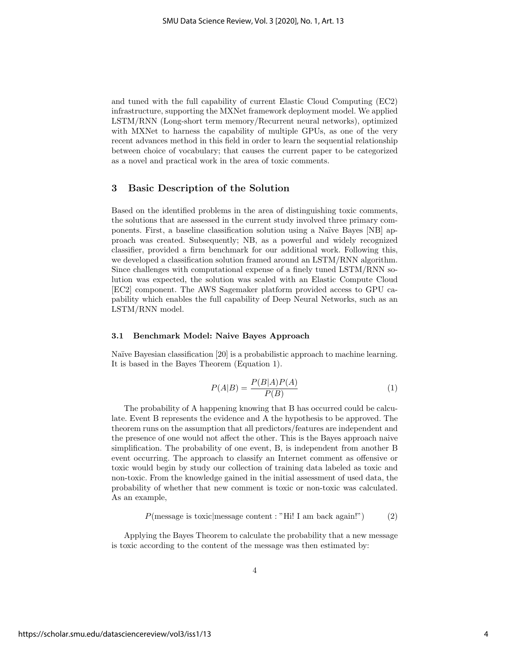and tuned with the full capability of current Elastic Cloud Computing (EC2) infrastructure, supporting the MXNet framework deployment model. We applied LSTM/RNN (Long-short term memory/Recurrent neural networks), optimized with MXNet to harness the capability of multiple GPUs, as one of the very recent advances method in this field in order to learn the sequential relationship between choice of vocabulary; that causes the current paper to be categorized as a novel and practical work in the area of toxic comments.

## 3 Basic Description of the Solution

Based on the identified problems in the area of distinguishing toxic comments, the solutions that are assessed in the current study involved three primary components. First, a baseline classification solution using a Naïve Bayes [NB] approach was created. Subsequently; NB, as a powerful and widely recognized classifier, provided a firm benchmark for our additional work. Following this, we developed a classification solution framed around an LSTM/RNN algorithm. Since challenges with computational expense of a finely tuned LSTM/RNN solution was expected, the solution was scaled with an Elastic Compute Cloud [EC2] component. The AWS Sagemaker platform provided access to GPU capability which enables the full capability of Deep Neural Networks, such as an LSTM/RNN model.

#### 3.1 Benchmark Model: Naive Bayes Approach

Naïve Bayesian classification [20] is a probabilistic approach to machine learning. It is based in the Bayes Theorem (Equation 1).

$$
P(A|B) = \frac{P(B|A)P(A)}{P(B)}\tag{1}
$$

The probability of A happening knowing that B has occurred could be calculate. Event B represents the evidence and A the hypothesis to be approved. The theorem runs on the assumption that all predictors/features are independent and the presence of one would not affect the other. This is the Bayes approach naive simplification. The probability of one event, B, is independent from another B event occurring. The approach to classify an Internet comment as offensive or toxic would begin by study our collection of training data labeled as toxic and non-toxic. From the knowledge gained in the initial assessment of used data, the probability of whether that new comment is toxic or non-toxic was calculated. As an example,

$$
P(\text{message is toxic}|\text{message content}: "Hi! I am back again!")
$$
 (2)

Applying the Bayes Theorem to calculate the probability that a new message is toxic according to the content of the message was then estimated by: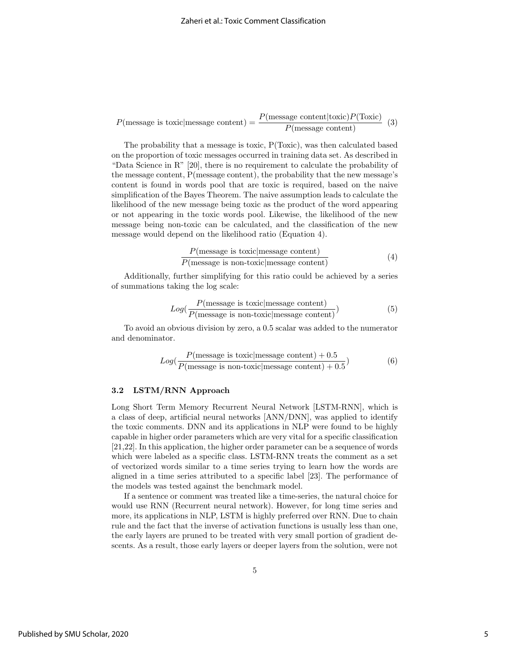$P(\text{message is toxic}|\text{message content}) = \frac{P(\text{message content}|\text{toxic})P(\text{Toxic})}{P(\text{message content})}$  (3)

The probability that a message is toxic, P(Toxic), was then calculated based on the proportion of toxic messages occurred in training data set. As described in "Data Science in R" [20], there is no requirement to calculate the probability of the message content, P(message content), the probability that the new message's content is found in words pool that are toxic is required, based on the naive simplification of the Bayes Theorem. The naive assumption leads to calculate the likelihood of the new message being toxic as the product of the word appearing or not appearing in the toxic words pool. Likewise, the likelihood of the new message being non-toxic can be calculated, and the classification of the new message would depend on the likelihood ratio (Equation 4).

$$
\frac{P(\text{message is toxic}|\text{message content})}{P(\text{message is non-toxic}|\text{message content})}
$$
(4)

Additionally, further simplifying for this ratio could be achieved by a series of summations taking the log scale:

$$
Log(\frac{P(\text{message is toxic}|\text{message content})}{P(\text{message is non-toxic}|\text{message content})})
$$
\n(5)

To avoid an obvious division by zero, a 0.5 scalar was added to the numerator and denominator.

$$
Log(\frac{P(\text{message is toxic}|\text{message content}) + 0.5}{P(\text{message is non-toxic}|\text{message content}) + 0.5})
$$
(6)

#### 3.2 LSTM/RNN Approach

Long Short Term Memory Recurrent Neural Network [LSTM-RNN], which is a class of deep, artificial neural networks [ANN/DNN], was applied to identify the toxic comments. DNN and its applications in NLP were found to be highly capable in higher order parameters which are very vital for a specific classification [21,22]. In this application, the higher order parameter can be a sequence of words which were labeled as a specific class. LSTM-RNN treats the comment as a set of vectorized words similar to a time series trying to learn how the words are aligned in a time series attributed to a specific label [23]. The performance of the models was tested against the benchmark model.

If a sentence or comment was treated like a time-series, the natural choice for would use RNN (Recurrent neural network). However, for long time series and more, its applications in NLP, LSTM is highly preferred over RNN. Due to chain rule and the fact that the inverse of activation functions is usually less than one, the early layers are pruned to be treated with very small portion of gradient descents. As a result, those early layers or deeper layers from the solution, were not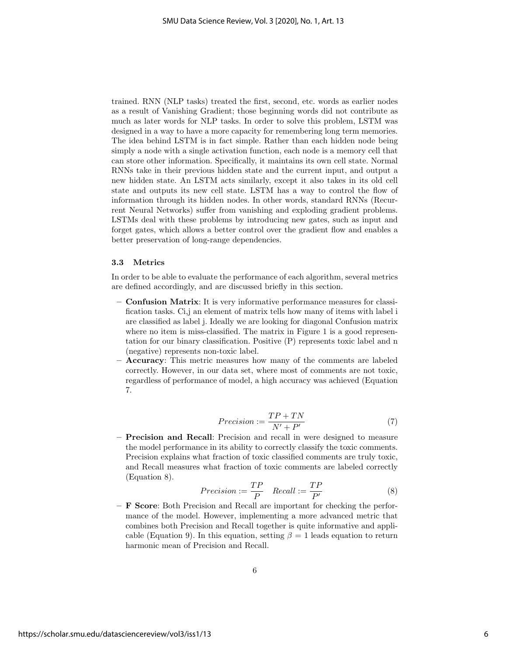trained. RNN (NLP tasks) treated the first, second, etc. words as earlier nodes as a result of Vanishing Gradient; those beginning words did not contribute as much as later words for NLP tasks. In order to solve this problem, LSTM was designed in a way to have a more capacity for remembering long term memories. The idea behind LSTM is in fact simple. Rather than each hidden node being simply a node with a single activation function, each node is a memory cell that can store other information. Specifically, it maintains its own cell state. Normal RNNs take in their previous hidden state and the current input, and output a new hidden state. An LSTM acts similarly, except it also takes in its old cell state and outputs its new cell state. LSTM has a way to control the flow of information through its hidden nodes. In other words, standard RNNs (Recurrent Neural Networks) suffer from vanishing and exploding gradient problems. LSTMs deal with these problems by introducing new gates, such as input and forget gates, which allows a better control over the gradient flow and enables a better preservation of long-range dependencies.

#### 3.3 Metrics

In order to be able to evaluate the performance of each algorithm, several metrics are defined accordingly, and are discussed briefly in this section.

- Confusion Matrix: It is very informative performance measures for classification tasks. Ci,j an element of matrix tells how many of items with label i are classified as label j. Ideally we are looking for diagonal Confusion matrix where no item is miss-classified. The matrix in Figure 1 is a good representation for our binary classification. Positive (P) represents toxic label and n (negative) represents non-toxic label.
- Accuracy: This metric measures how many of the comments are labeled correctly. However, in our data set, where most of comments are not toxic, regardless of performance of model, a high accuracy was achieved (Equation 7.

$$
Precision := \frac{TP + TN}{N' + P'}\tag{7}
$$

– Precision and Recall: Precision and recall in were designed to measure the model performance in its ability to correctly classify the toxic comments. Precision explains what fraction of toxic classified comments are truly toxic, and Recall measures what fraction of toxic comments are labeled correctly (Equation 8).

$$
Precision := \frac{TP}{P} \quad Recall := \frac{TP}{P'} \tag{8}
$$

– F Score: Both Precision and Recall are important for checking the performance of the model. However, implementing a more advanced metric that combines both Precision and Recall together is quite informative and applicable (Equation 9). In this equation, setting  $\beta = 1$  leads equation to return harmonic mean of Precision and Recall.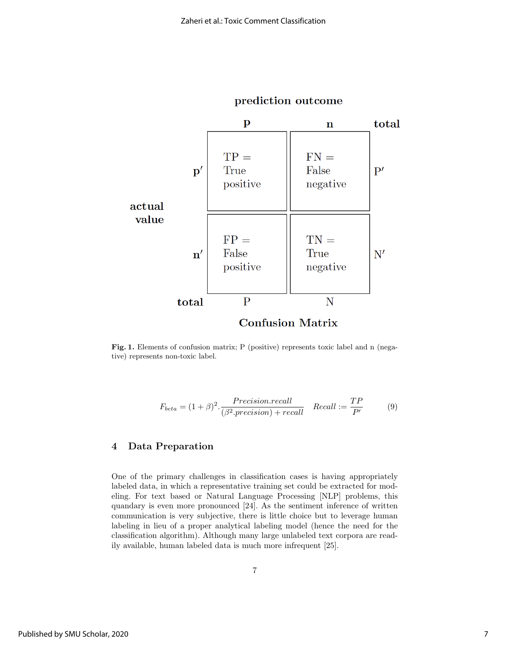

## prediction outcome

Fig. 1. Elements of confusion matrix; P (positive) represents toxic label and n (negative) represents non-toxic label.

$$
F_{beta} = (1+\beta)^2 \cdot \frac{Precision.readl}{(\beta^2.precision) + recall} \quad Recall := \frac{TP}{P'} \tag{9}
$$

## 4 Data Preparation

One of the primary challenges in classification cases is having appropriately labeled data, in which a representative training set could be extracted for modeling. For text based or Natural Language Processing [NLP] problems, this quandary is even more pronounced [24]. As the sentiment inference of written communication is very subjective, there is little choice but to leverage human labeling in lieu of a proper analytical labeling model (hence the need for the classification algorithm). Although many large unlabeled text corpora are readily available, human labeled data is much more infrequent [25].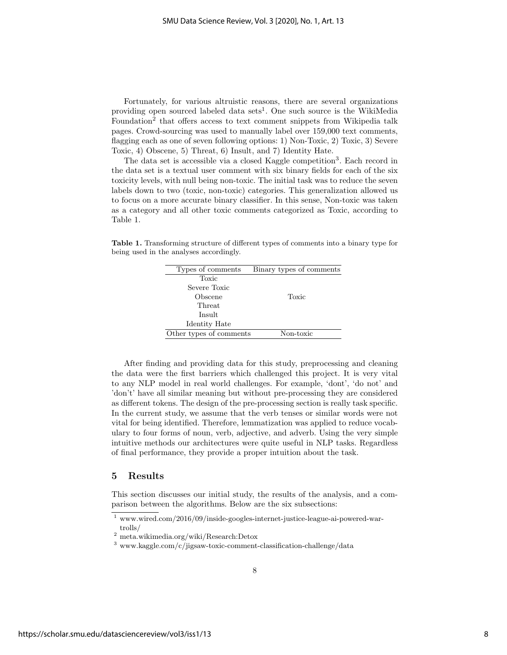Fortunately, for various altruistic reasons, there are several organizations providing open sourced labeled data sets<sup>1</sup>. One such source is the WikiMedia Foundation<sup>2</sup> that offers access to text comment snippets from Wikipedia talk pages. Crowd-sourcing was used to manually label over 159,000 text comments, flagging each as one of seven following options: 1) Non-Toxic, 2) Toxic, 3) Severe Toxic, 4) Obscene, 5) Threat, 6) Insult, and 7) Identity Hate.

The data set is accessible via a closed Kaggle competition<sup>3</sup>. Each record in the data set is a textual user comment with six binary fields for each of the six toxicity levels, with null being non-toxic. The initial task was to reduce the seven labels down to two (toxic, non-toxic) categories. This generalization allowed us to focus on a more accurate binary classifier. In this sense, Non-toxic was taken as a category and all other toxic comments categorized as Toxic, according to Table 1.

Table 1. Transforming structure of different types of comments into a binary type for being used in the analyses accordingly.

| Types of comments       | Binary types of comments |
|-------------------------|--------------------------|
| Toxic                   |                          |
| Severe Toxic            |                          |
| Obscene                 | Toxic                    |
| Threat                  |                          |
| Insult                  |                          |
| Identity Hate           |                          |
| Other types of comments | Non-toxic                |
|                         |                          |

After finding and providing data for this study, preprocessing and cleaning the data were the first barriers which challenged this project. It is very vital to any NLP model in real world challenges. For example, 'dont', 'do not' and 'don't' have all similar meaning but without pre-processing they are considered as different tokens. The design of the pre-processing section is really task specific. In the current study, we assume that the verb tenses or similar words were not vital for being identified. Therefore, lemmatization was applied to reduce vocabulary to four forms of noun, verb, adjective, and adverb. Using the very simple intuitive methods our architectures were quite useful in NLP tasks. Regardless of final performance, they provide a proper intuition about the task.

#### 5 Results

This section discusses our initial study, the results of the analysis, and a comparison between the algorithms. Below are the six subsections:

<sup>1</sup> www.wired.com/2016/09/inside-googles-internet-justice-league-ai-powered-wartrolls/

<sup>2</sup> meta.wikimedia.org/wiki/Research:Detox

 $3$  www.kaggle.com/c/jigsaw-toxic-comment-classification-challenge/data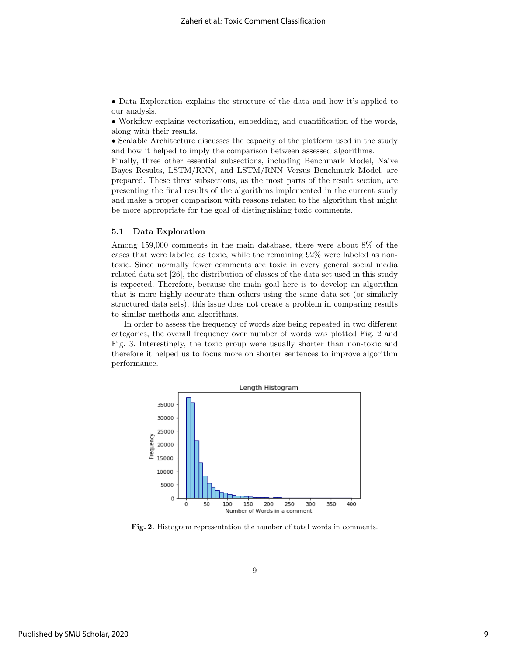• Data Exploration explains the structure of the data and how it's applied to our analysis.

• Workflow explains vectorization, embedding, and quantification of the words, along with their results.

• Scalable Architecture discusses the capacity of the platform used in the study and how it helped to imply the comparison between assessed algorithms.

Finally, three other essential subsections, including Benchmark Model, Naive Bayes Results, LSTM/RNN, and LSTM/RNN Versus Benchmark Model, are prepared. These three subsections, as the most parts of the result section, are presenting the final results of the algorithms implemented in the current study and make a proper comparison with reasons related to the algorithm that might be more appropriate for the goal of distinguishing toxic comments.

#### 5.1 Data Exploration

Among 159,000 comments in the main database, there were about 8% of the cases that were labeled as toxic, while the remaining 92% were labeled as nontoxic. Since normally fewer comments are toxic in every general social media related data set [26], the distribution of classes of the data set used in this study is expected. Therefore, because the main goal here is to develop an algorithm that is more highly accurate than others using the same data set (or similarly structured data sets), this issue does not create a problem in comparing results to similar methods and algorithms.

In order to assess the frequency of words size being repeated in two different categories, the overall frequency over number of words was plotted Fig. 2 and Fig. 3. Interestingly, the toxic group were usually shorter than non-toxic and therefore it helped us to focus more on shorter sentences to improve algorithm performance.



Fig. 2. Histogram representation the number of total words in comments.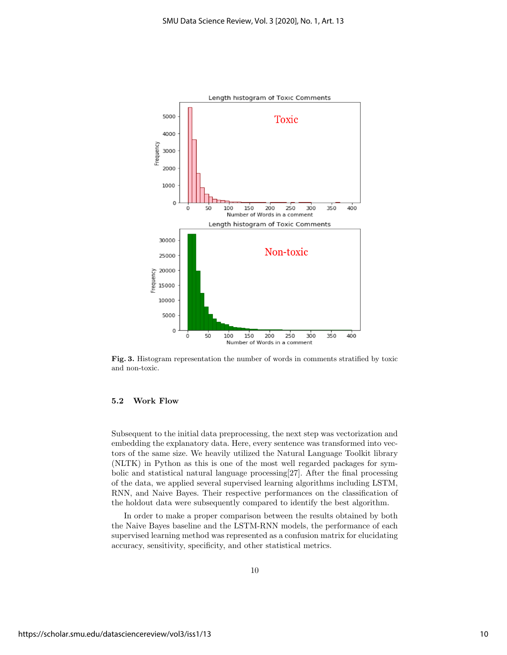

Fig. 3. Histogram representation the number of words in comments stratified by toxic and non-toxic.

#### 5.2 Work Flow

Subsequent to the initial data preprocessing, the next step was vectorization and embedding the explanatory data. Here, every sentence was transformed into vectors of the same size. We heavily utilized the Natural Language Toolkit library (NLTK) in Python as this is one of the most well regarded packages for symbolic and statistical natural language processing[27]. After the final processing of the data, we applied several supervised learning algorithms including LSTM, RNN, and Naive Bayes. Their respective performances on the classification of the holdout data were subsequently compared to identify the best algorithm.

In order to make a proper comparison between the results obtained by both the Naive Bayes baseline and the LSTM-RNN models, the performance of each supervised learning method was represented as a confusion matrix for elucidating accuracy, sensitivity, specificity, and other statistical metrics.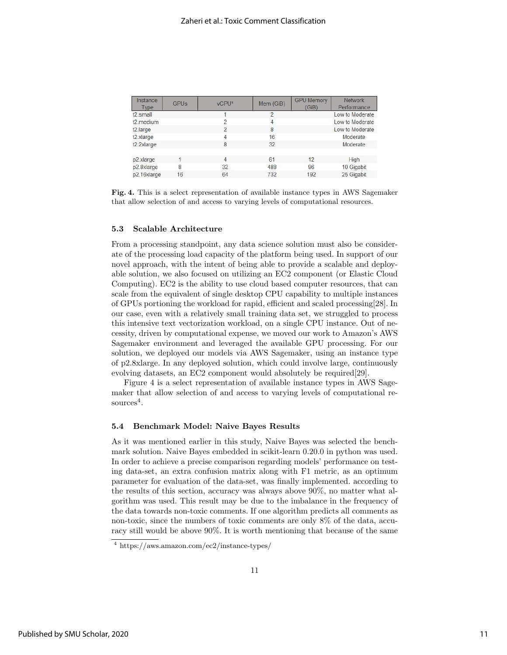| Instance<br><b>Type</b> | <b>GPUs</b> | vCPU*          | Mem (GiB)                | <b>GPU Memory</b><br>(GiB) | <b>Network</b><br>Performance |
|-------------------------|-------------|----------------|--------------------------|----------------------------|-------------------------------|
| $t2$ small              |             |                | $\overline{\phantom{0}}$ |                            | Low to Moderate               |
| t2.medium               |             | $\mathfrak{p}$ | 4                        |                            | Low to Moderate               |
| t2.large                |             | $\mathfrak{p}$ | 8                        |                            | Low to Moderate               |
| t2.xlarge               |             | 4              | 16                       |                            | Moderate                      |
| t2.2xlarge              |             | 8              | 32                       |                            | Moderate                      |
|                         |             |                |                          |                            |                               |
| p2.xlarge               |             | 4              | 61                       | 12                         | High                          |
| p2.8xlarge              | 8           | 32             | 488                      | 96                         | 10 Gigabit                    |
| p2.16xlarge             | 16          | 64             | 732                      | 192                        | 25 Gigabit                    |
|                         |             |                |                          |                            |                               |

Fig. 4. This is a select representation of available instance types in AWS Sagemaker that allow selection of and access to varying levels of computational resources.

#### 5.3 Scalable Architecture

From a processing standpoint, any data science solution must also be considerate of the processing load capacity of the platform being used. In support of our novel approach, with the intent of being able to provide a scalable and deployable solution, we also focused on utilizing an EC2 component (or Elastic Cloud Computing). EC2 is the ability to use cloud based computer resources, that can scale from the equivalent of single desktop CPU capability to multiple instances of GPUs portioning the workload for rapid, efficient and scaled processing[28]. In our case, even with a relatively small training data set, we struggled to process this intensive text vectorization workload, on a single CPU instance. Out of necessity, driven by computational expense, we moved our work to Amazon's AWS Sagemaker environment and leveraged the available GPU processing. For our solution, we deployed our models via AWS Sagemaker, using an instance type of p2.8xlarge. In any deployed solution, which could involve large, continuously evolving datasets, an EC2 component would absolutely be required[29].

Figure 4 is a select representation of available instance types in AWS Sagemaker that allow selection of and access to varying levels of computational re $sources<sup>4</sup>$ .

#### 5.4 Benchmark Model: Naive Bayes Results

As it was mentioned earlier in this study, Naive Bayes was selected the benchmark solution. Naive Bayes embedded in scikit-learn 0.20.0 in python was used. In order to achieve a precise comparison regarding models' performance on testing data-set, an extra confusion matrix along with F1 metric, as an optimum parameter for evaluation of the data-set, was finally implemented. according to the results of this section, accuracy was always above 90%, no matter what algorithm was used. This result may be due to the imbalance in the frequency of the data towards non-toxic comments. If one algorithm predicts all comments as non-toxic, since the numbers of toxic comments are only 8% of the data, accuracy still would be above 90%. It is worth mentioning that because of the same

<sup>4</sup> https://aws.amazon.com/ec2/instance-types/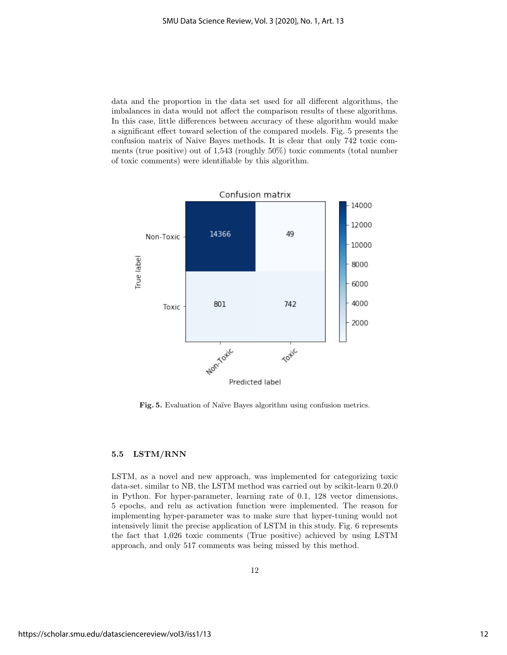data and the proportion in the data set used for all different algorithms, the imbalances in data would not affect the comparison results of these algorithms. In this case, little differences between accuracy of these algorithm would make a significant effect toward selection of the compared models. Fig. 5 presents the confusion matrix of Naive Bayes methods. It is clear that only 742 toxic comments (true positive) out of 1,543 (roughly 50%) toxic comments (total number of toxic comments) were identifiable by this algorithm.



Fig. 5. Evaluation of Naïve Bayes algorithm using confusion metrics.

#### 5.5 LSTM/RNN

LSTM, as a novel and new approach, was implemented for categorizing toxic data-set. similar to NB, the LSTM method was carried out by scikit-learn 0.20.0 in Python. For hyper-parameter, learning rate of 0.1, 128 vector dimensions, 5 epochs, and relu as activation function were implemented. The reason for implementing hyper-parameter was to make sure that hyper-tuning would not intensively limit the precise application of LSTM in this study. Fig. 6 represents the fact that 1,026 toxic comments (True positive) achieved by using LSTM approach, and only 517 comments was being missed by this method.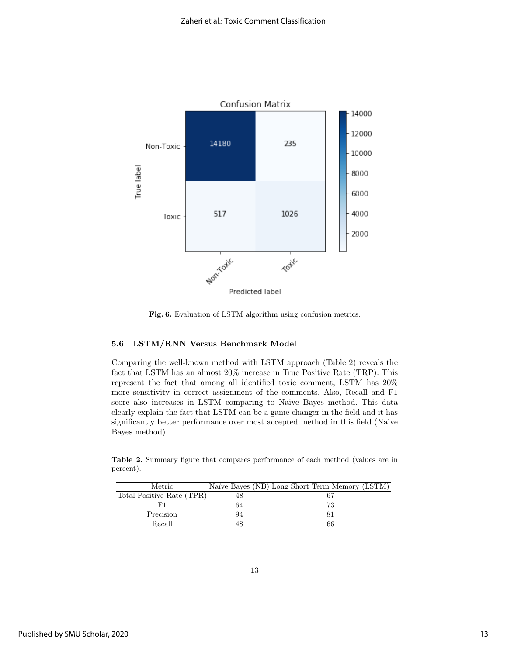

Fig. 6. Evaluation of LSTM algorithm using confusion metrics.

#### 5.6 LSTM/RNN Versus Benchmark Model

Comparing the well-known method with LSTM approach (Table 2) reveals the fact that LSTM has an almost 20% increase in True Positive Rate (TRP). This represent the fact that among all identified toxic comment, LSTM has 20% more sensitivity in correct assignment of the comments. Also, Recall and F1 score also increases in LSTM comparing to Naive Bayes method. This data clearly explain the fact that LSTM can be a game changer in the field and it has significantly better performance over most accepted method in this field (Naive Bayes method).

Table 2. Summary figure that compares performance of each method (values are in percent).

| Metric                    |    | Naïve Bayes (NB) Long Short Term Memory (LSTM) |
|---------------------------|----|------------------------------------------------|
| Total Positive Rate (TPR) |    |                                                |
|                           | 64 |                                                |
| Precision                 |    |                                                |
| Recall                    |    | 66                                             |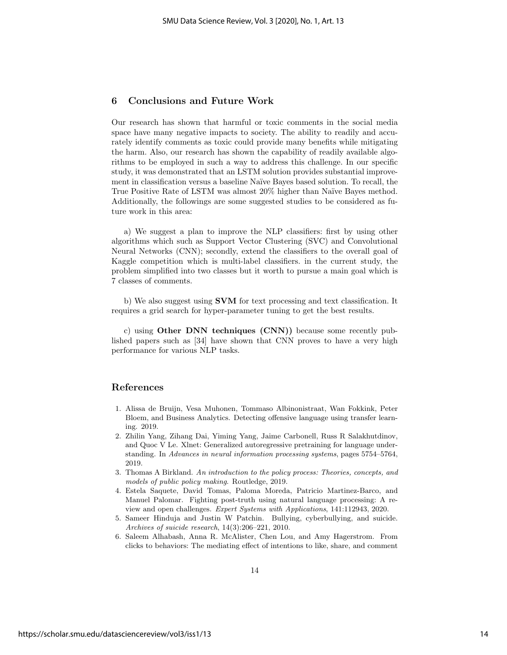### 6 Conclusions and Future Work

Our research has shown that harmful or toxic comments in the social media space have many negative impacts to society. The ability to readily and accurately identify comments as toxic could provide many benefits while mitigating the harm. Also, our research has shown the capability of readily available algorithms to be employed in such a way to address this challenge. In our specific study, it was demonstrated that an LSTM solution provides substantial improvement in classification versus a baseline Na¨ıve Bayes based solution. To recall, the True Positive Rate of LSTM was almost 20% higher than Naïve Bayes method. Additionally, the followings are some suggested studies to be considered as future work in this area:

a) We suggest a plan to improve the NLP classifiers: first by using other algorithms which such as Support Vector Clustering (SVC) and Convolutional Neural Networks (CNN); secondly, extend the classifiers to the overall goal of Kaggle competition which is multi-label classifiers. in the current study, the problem simplified into two classes but it worth to pursue a main goal which is 7 classes of comments.

b) We also suggest using SVM for text processing and text classification. It requires a grid search for hyper-parameter tuning to get the best results.

c) using Other DNN techniques (CNN)) because some recently published papers such as [34] have shown that CNN proves to have a very high performance for various NLP tasks.

## References

- 1. Alissa de Bruijn, Vesa Muhonen, Tommaso Albinonistraat, Wan Fokkink, Peter Bloem, and Business Analytics. Detecting offensive language using transfer learning. 2019.
- 2. Zhilin Yang, Zihang Dai, Yiming Yang, Jaime Carbonell, Russ R Salakhutdinov, and Quoc V Le. Xlnet: Generalized autoregressive pretraining for language understanding. In Advances in neural information processing systems, pages 5754–5764, 2019.
- 3. Thomas A Birkland. An introduction to the policy process: Theories, concepts, and models of public policy making. Routledge, 2019.
- 4. Estela Saquete, David Tomas, Paloma Moreda, Patricio Martinez-Barco, and Manuel Palomar. Fighting post-truth using natural language processing: A review and open challenges. Expert Systems with Applications, 141:112943, 2020.
- 5. Sameer Hinduja and Justin W Patchin. Bullying, cyberbullying, and suicide. Archives of suicide research, 14(3):206–221, 2010.
- 6. Saleem Alhabash, Anna R. McAlister, Chen Lou, and Amy Hagerstrom. From clicks to behaviors: The mediating effect of intentions to like, share, and comment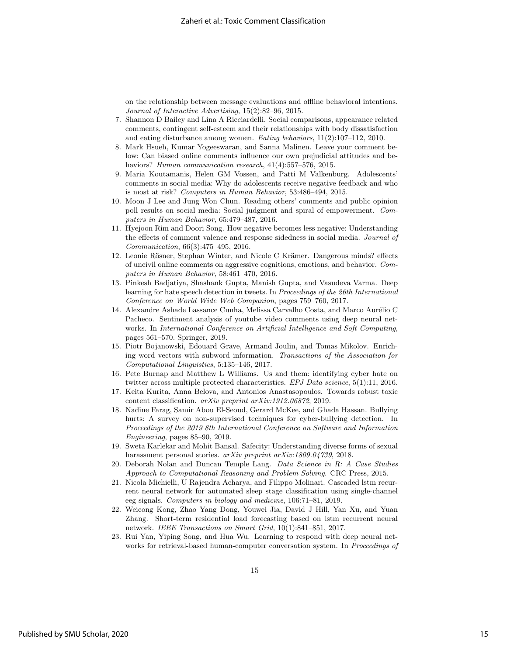on the relationship between message evaluations and offline behavioral intentions. Journal of Interactive Advertising, 15(2):82–96, 2015.

- 7. Shannon D Bailey and Lina A Ricciardelli. Social comparisons, appearance related comments, contingent self-esteem and their relationships with body dissatisfaction and eating disturbance among women. Eating behaviors, 11(2):107–112, 2010.
- 8. Mark Hsueh, Kumar Yogeeswaran, and Sanna Malinen. Leave your comment below: Can biased online comments influence our own prejudicial attitudes and behaviors? Human communication research,  $41(4):557-576$ ,  $2015$ .
- 9. Maria Koutamanis, Helen GM Vossen, and Patti M Valkenburg. Adolescents' comments in social media: Why do adolescents receive negative feedback and who is most at risk? Computers in Human Behavior, 53:486–494, 2015.
- 10. Moon J Lee and Jung Won Chun. Reading others' comments and public opinion poll results on social media: Social judgment and spiral of empowerment. Computers in Human Behavior, 65:479–487, 2016.
- 11. Hyejoon Rim and Doori Song. How negative becomes less negative: Understanding the effects of comment valence and response sidedness in social media. Journal of Communication, 66(3):475–495, 2016.
- 12. Leonie Rösner, Stephan Winter, and Nicole C Krämer. Dangerous minds? effects of uncivil online comments on aggressive cognitions, emotions, and behavior. Computers in Human Behavior, 58:461–470, 2016.
- 13. Pinkesh Badjatiya, Shashank Gupta, Manish Gupta, and Vasudeva Varma. Deep learning for hate speech detection in tweets. In Proceedings of the 26th International Conference on World Wide Web Companion, pages 759–760, 2017.
- 14. Alexandre Ashade Lassance Cunha, Melissa Carvalho Costa, and Marco Aurélio C Pacheco. Sentiment analysis of youtube video comments using deep neural networks. In International Conference on Artificial Intelligence and Soft Computing, pages 561–570. Springer, 2019.
- 15. Piotr Bojanowski, Edouard Grave, Armand Joulin, and Tomas Mikolov. Enriching word vectors with subword information. Transactions of the Association for Computational Linguistics, 5:135–146, 2017.
- 16. Pete Burnap and Matthew L Williams. Us and them: identifying cyber hate on twitter across multiple protected characteristics. EPJ Data science, 5(1):11, 2016.
- 17. Keita Kurita, Anna Belova, and Antonios Anastasopoulos. Towards robust toxic content classification. arXiv preprint arXiv:1912.06872, 2019.
- 18. Nadine Farag, Samir Abou El-Seoud, Gerard McKee, and Ghada Hassan. Bullying hurts: A survey on non-supervised techniques for cyber-bullying detection. In Proceedings of the 2019 8th International Conference on Software and Information Engineering, pages 85–90, 2019.
- 19. Sweta Karlekar and Mohit Bansal. Safecity: Understanding diverse forms of sexual harassment personal stories. arXiv preprint arXiv:1809.04739, 2018.
- 20. Deborah Nolan and Duncan Temple Lang. Data Science in R: A Case Studies Approach to Computational Reasoning and Problem Solving. CRC Press, 2015.
- 21. Nicola Michielli, U Rajendra Acharya, and Filippo Molinari. Cascaded lstm recurrent neural network for automated sleep stage classification using single-channel eeg signals. Computers in biology and medicine, 106:71–81, 2019.
- 22. Weicong Kong, Zhao Yang Dong, Youwei Jia, David J Hill, Yan Xu, and Yuan Zhang. Short-term residential load forecasting based on lstm recurrent neural network. IEEE Transactions on Smart Grid, 10(1):841–851, 2017.
- 23. Rui Yan, Yiping Song, and Hua Wu. Learning to respond with deep neural networks for retrieval-based human-computer conversation system. In Proceedings of